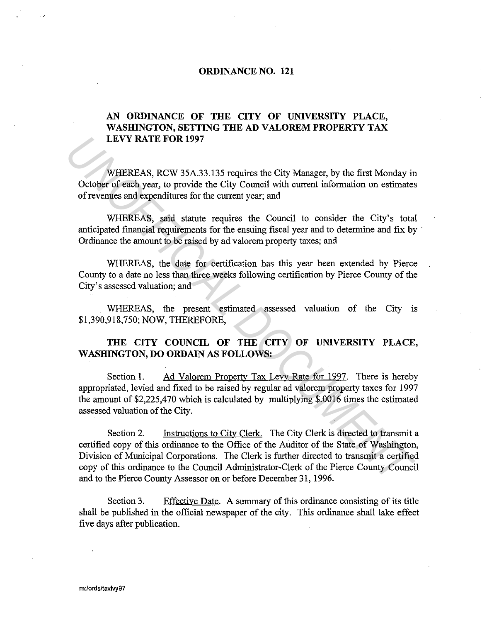## **ORDINANCE NO. 121**

## **AN ORDINANCE OF THE CITY OF UNIVERSITY PLACE,**  WASHINGTON, SETTING THE AD VALOREM PROPERTY TAX **LEVY RATE FOR 1997**

WHEREAS, RCW 35A.33.135 requires the City Manager, by the first Monday in October of each year, to provide the City Council with current information on estimates of revenues and expenditures for the current year; and

WHEREAS, said statute requires the Council to consider the City's total anticipated financial requirements for the ensuing fiscal year and to determine and fix by Ordinance the amount to be raised by ad valorem property taxes; and

WHEREAS, the date for certification has this year been extended by Pierce County to a date no less than three weeks following certification by Pierce County of the City's assessed valuation; and

WHEREAS, the present estimated assessed valuation of the City is \$1,390,918,750; NOW, THEREFORE,

## **THE CITY COUNCIL OF THE CITY OF UNIVERSITY PLACE, WASHINGTON, DO ORDAIN AS FOLLOWS:**

Section 1. Ad Valorem Property Tax Levy Rate for 1997. There is hereby appropriated, levied and fixed to be raised by regular ad valorem property taxes for 1997 the amount of \$2,225,470 which is calculated by multiplying \$.0016 times the estimated assessed valuation of the City.

Section 2. Instructions to City Clerk. The City Clerk is directed to transmit a certified copy of this ordinance to the Office of the Auditor of the State of Washington, Division of Municipal Corporations. The Clerk is further directed to transmit a certified copy of this ordinance to the Council Administrator-Clerk of the Pierce County Council and to the Pierce County Assessor on or before December 31, 1996. **URVY RATE FOR 1997**<br>
WHEREAS, RCW 35A.33.135 requires the City Manager, by the first Monday in<br>
October of each year, to provide the City Council with current information on estimates<br>
of revenues and expenditures for the

Section 3. Effective Date. A summary of this ordinance consisting of its title shall be published in the official newspaper of the city. This ordinance shall take effect five days after publication.

m:/ords/taxlvy97